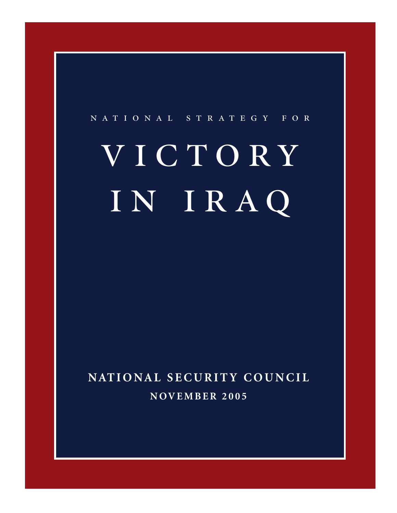# national strategy for

# VICTORY IN IRAQ

**NATIONAL SECURITY COUNCIL NOVEMBER 2005**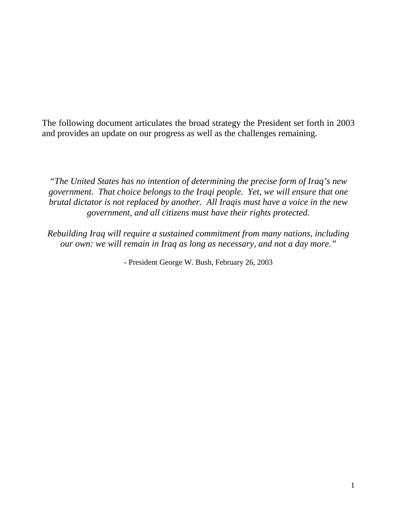The following document articulates the broad strategy the President set forth in 2003 and provides an update on our progress as well as the challenges remaining.

*"The United States has no intention of determining the precise form of Iraq's new government. That choice belongs to the Iraqi people. Yet, we will ensure that one brutal dictator is not replaced by another. All Iraqis must have a voice in the new government, and all citizens must have their rights protected.* 

*Rebuilding Iraq will require a sustained commitment from many nations, including our own: we will remain in Iraq as long as necessary, and not a day more."* 

- President George W. Bush, February 26, 2003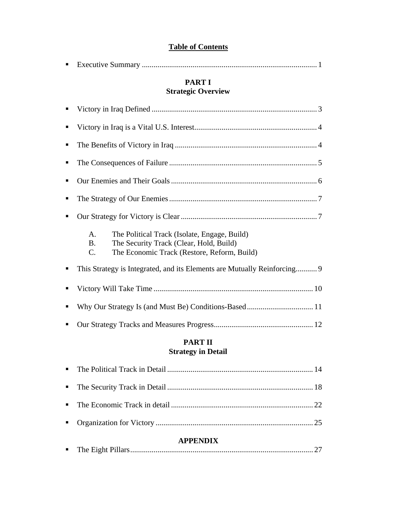# **Table of Contents**

| $\blacksquare$ Executive Summary |
|----------------------------------|
|                                  |

# **PART I Strategic Overview**

| ٠ |                                                                                                                                                                              |  |
|---|------------------------------------------------------------------------------------------------------------------------------------------------------------------------------|--|
|   |                                                                                                                                                                              |  |
|   |                                                                                                                                                                              |  |
| п |                                                                                                                                                                              |  |
|   |                                                                                                                                                                              |  |
|   | The Political Track (Isolate, Engage, Build)<br>A.<br>The Security Track (Clear, Hold, Build)<br><b>B.</b><br>$\mathcal{C}$ .<br>The Economic Track (Restore, Reform, Build) |  |
|   | This Strategy is Integrated, and its Elements are Mutually Reinforcing 9                                                                                                     |  |
|   |                                                                                                                                                                              |  |
|   | Why Our Strategy Is (and Must Be) Conditions-Based 11                                                                                                                        |  |
|   |                                                                                                                                                                              |  |
|   |                                                                                                                                                                              |  |

# **PART II Strategy in Detail**

| <b>APPENDIX</b> |  |  |  |
|-----------------|--|--|--|
|                 |  |  |  |
|                 |  |  |  |
|                 |  |  |  |
|                 |  |  |  |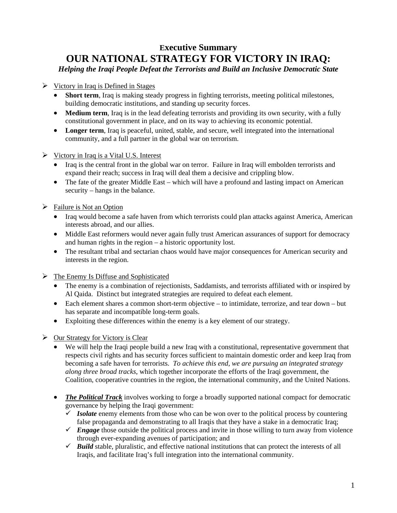# **Executive Summary OUR NATIONAL STRATEGY FOR VICTORY IN IRAQ:**  *Helping the Iraqi People Defeat the Terrorists and Build an Inclusive Democratic State*

 $\triangleright$  Victory in Iraq is Defined in Stages

- **Short term**, Iraq is making steady progress in fighting terrorists, meeting political milestones, building democratic institutions, and standing up security forces.
- **Medium term**, Iraq is in the lead defeating terrorists and providing its own security, with a fully constitutional government in place, and on its way to achieving its economic potential.
- **Longer term**, Iraq is peaceful, united, stable, and secure, well integrated into the international community, and a full partner in the global war on terrorism.

 $\triangleright$  Victory in Iraq is a Vital U.S. Interest

- Iraq is the central front in the global war on terror. Failure in Iraq will embolden terrorists and expand their reach; success in Iraq will deal them a decisive and crippling blow.
- The fate of the greater Middle East which will have a profound and lasting impact on American security – hangs in the balance.
- $\triangleright$  Failure is Not an Option
	- Iraq would become a safe haven from which terrorists could plan attacks against America, American interests abroad, and our allies.
	- Middle East reformers would never again fully trust American assurances of support for democracy and human rights in the region – a historic opportunity lost.
	- The resultant tribal and sectarian chaos would have major consequences for American security and interests in the region.

 $\triangleright$  The Enemy Is Diffuse and Sophisticated

- The enemy is a combination of rejectionists, Saddamists, and terrorists affiliated with or inspired by Al Qaida. Distinct but integrated strategies are required to defeat each element.
- Each element shares a common short-term objective to intimidate, terrorize, and tear down but has separate and incompatible long-term goals.
- Exploiting these differences within the enemy is a key element of our strategy.
- $\triangleright$  Our Strategy for Victory is Clear
	- We will help the Iraqi people build a new Iraq with a constitutional, representative government that respects civil rights and has security forces sufficient to maintain domestic order and keep Iraq from becoming a safe haven for terrorists. *To achieve this end, we are pursuing an integrated strategy along three broad tracks*, which together incorporate the efforts of the Iraqi government, the Coalition, cooperative countries in the region, the international community, and the United Nations.
	- *The Political Track* involves working to forge a broadly supported national compact for democratic governance by helping the Iraqi government:
		- $\checkmark$  *Isolate* enemy elements from those who can be won over to the political process by countering false propaganda and demonstrating to all Iraqis that they have a stake in a democratic Iraq;
		- $\checkmark$  Engage those outside the political process and invite in those willing to turn away from violence through ever-expanding avenues of participation; and
		- $\checkmark$  *Build* stable, pluralistic, and effective national institutions that can protect the interests of all Iraqis, and facilitate Iraq's full integration into the international community.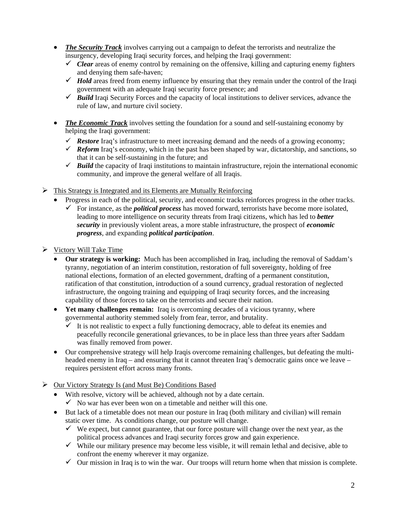- *The Security Track* involves carrying out a campaign to defeat the terrorists and neutralize the insurgency, developing Iraqi security forces, and helping the Iraqi government:
	- $\checkmark$  *Clear* areas of enemy control by remaining on the offensive, killing and capturing enemy fighters and denying them safe-haven;
	- $\checkmark$  *Hold* areas freed from enemy influence by ensuring that they remain under the control of the Iraqi government with an adequate Iraqi security force presence; and
	- $\checkmark$  *Build* Iraqi Security Forces and the capacity of local institutions to deliver services, advance the rule of law, and nurture civil society.
- *The Economic Track* involves setting the foundation for a sound and self-sustaining economy by helping the Iraqi government:
	- $\checkmark$  **Restore** Iraq's infrastructure to meet increasing demand and the needs of a growing economy;
	- $\checkmark$  **Reform** Iraq's economy, which in the past has been shaped by war, dictatorship, and sanctions, so that it can be self-sustaining in the future; and
	- $\checkmark$  *Build* the capacity of Iraqi institutions to maintain infrastructure, rejoin the international economic community, and improve the general welfare of all Iraqis.
- $\triangleright$  This Strategy is Integrated and its Elements are Mutually Reinforcing
	- Progress in each of the political, security, and economic tracks reinforces progress in the other tracks.
		- $\checkmark$  For instance, as the *political process* has moved forward, terrorists have become more isolated, leading to more intelligence on security threats from Iraqi citizens, which has led to *better security* in previously violent areas, a more stable infrastructure, the prospect of *economic progress*, and expanding *political participation*.
- $\triangleright$  Victory Will Take Time
	- **Our strategy is working:** Much has been accomplished in Iraq, including the removal of Saddam's tyranny, negotiation of an interim constitution, restoration of full sovereignty, holding of free national elections, formation of an elected government, drafting of a permanent constitution, ratification of that constitution, introduction of a sound currency, gradual restoration of neglected infrastructure, the ongoing training and equipping of Iraqi security forces, and the increasing capability of those forces to take on the terrorists and secure their nation.
	- Yet many challenges remain: Iraq is overcoming decades of a vicious tyranny, where governmental authority stemmed solely from fear, terror, and brutality.
		- $\checkmark$  It is not realistic to expect a fully functioning democracy, able to defeat its enemies and peacefully reconcile generational grievances, to be in place less than three years after Saddam was finally removed from power.
	- Our comprehensive strategy will help Iraqis overcome remaining challenges, but defeating the multiheaded enemy in Iraq – and ensuring that it cannot threaten Iraq's democratic gains once we leave – requires persistent effort across many fronts.
- ¾ Our Victory Strategy Is (and Must Be) Conditions Based
	- With resolve, victory will be achieved, although not by a date certain.  $\checkmark$  No war has ever been won on a timetable and neither will this one.
	- But lack of a timetable does not mean our posture in Iraq (both military and civilian) will remain static over time. As conditions change, our posture will change.
		- $\checkmark$  We expect, but cannot guarantee, that our force posture will change over the next year, as the political process advances and Iraqi security forces grow and gain experience.
		- $\checkmark$  While our military presence may become less visible, it will remain lethal and decisive, able to confront the enemy wherever it may organize.
		- $\checkmark$  Our mission in Iraq is to win the war. Our troops will return home when that mission is complete.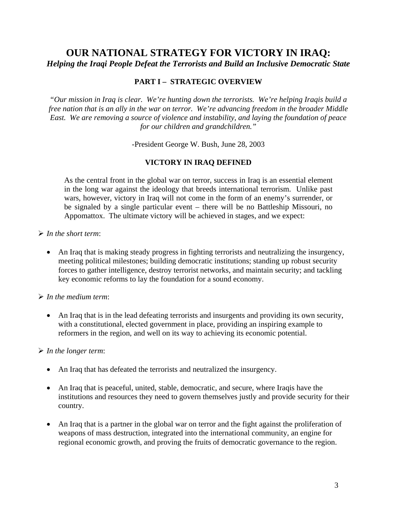# **OUR NATIONAL STRATEGY FOR VICTORY IN IRAQ:**  *Helping the Iraqi People Defeat the Terrorists and Build an Inclusive Democratic State*

#### **PART I – STRATEGIC OVERVIEW**

*"Our mission in Iraq is clear. We're hunting down the terrorists. We're helping Iraqis build a free nation that is an ally in the war on terror. We're advancing freedom in the broader Middle East. We are removing a source of violence and instability, and laying the foundation of peace for our children and grandchildren."* 

-President George W. Bush, June 28, 2003

#### **VICTORY IN IRAQ DEFINED**

As the central front in the global war on terror, success in Iraq is an essential element in the long war against the ideology that breeds international terrorism. Unlike past wars, however, victory in Iraq will not come in the form of an enemy's surrender, or be signaled by a single particular event – there will be no Battleship Missouri, no Appomattox. The ultimate victory will be achieved in stages, and we expect:

- ¾ *In the short term*:
	- An Iraq that is making steady progress in fighting terrorists and neutralizing the insurgency, meeting political milestones; building democratic institutions; standing up robust security forces to gather intelligence, destroy terrorist networks, and maintain security; and tackling key economic reforms to lay the foundation for a sound economy.

#### ¾ *In the medium term*:

• An Iraq that is in the lead defeating terrorists and insurgents and providing its own security, with a constitutional, elected government in place, providing an inspiring example to reformers in the region, and well on its way to achieving its economic potential.

#### ¾ *In the longer term*:

- An Iraq that has defeated the terrorists and neutralized the insurgency.
- An Iraq that is peaceful, united, stable, democratic, and secure, where Iraqis have the institutions and resources they need to govern themselves justly and provide security for their country.
- An Iraq that is a partner in the global war on terror and the fight against the proliferation of weapons of mass destruction, integrated into the international community, an engine for regional economic growth, and proving the fruits of democratic governance to the region.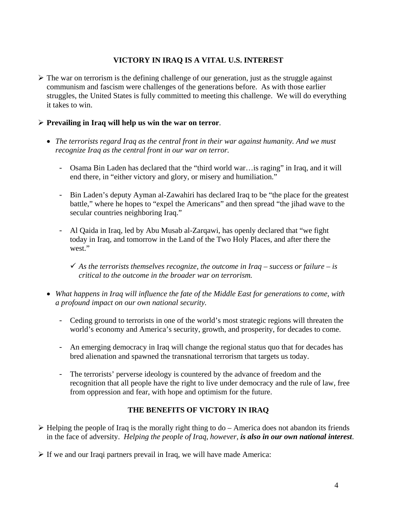## **VICTORY IN IRAQ IS A VITAL U.S. INTEREST**

 $\triangleright$  The war on terrorism is the defining challenge of our generation, just as the struggle against communism and fascism were challenges of the generations before. As with those earlier struggles, the United States is fully committed to meeting this challenge. We will do everything it takes to win.

#### ¾ **Prevailing in Iraq will help us win the war on terror**.

- *The terrorists regard Iraq as the central front in their war against humanity. And we must recognize Iraq as the central front in our war on terror.* 
	- Osama Bin Laden has declared that the "third world war…is raging" in Iraq, and it will end there, in "either victory and glory, or misery and humiliation."
	- Bin Laden's deputy Ayman al-Zawahiri has declared Iraq to be "the place for the greatest battle," where he hopes to "expel the Americans" and then spread "the jihad wave to the secular countries neighboring Iraq."
	- Al Qaida in Iraq, led by Abu Musab al-Zarqawi, has openly declared that "we fight today in Iraq, and tomorrow in the Land of the Two Holy Places, and after there the west."
		- $\checkmark$  As the terrorists themselves recognize, the outcome in Iraq success or failure is *critical to the outcome in the broader war on terrorism.*
- *What happens in Iraq will influence the fate of the Middle East for generations to come, with a profound impact on our own national security.* 
	- Ceding ground to terrorists in one of the world's most strategic regions will threaten the world's economy and America's security, growth, and prosperity, for decades to come.
	- An emerging democracy in Iraq will change the regional status quo that for decades has bred alienation and spawned the transnational terrorism that targets us today.
	- The terrorists' perverse ideology is countered by the advance of freedom and the recognition that all people have the right to live under democracy and the rule of law, free from oppression and fear, with hope and optimism for the future.

#### **THE BENEFITS OF VICTORY IN IRAQ**

- $\triangleright$  Helping the people of Iraq is the morally right thing to do America does not abandon its friends in the face of adversity. *Helping the people of Iraq, however, is also in our own national interest*.
- $\triangleright$  If we and our Iraqi partners prevail in Iraq, we will have made America: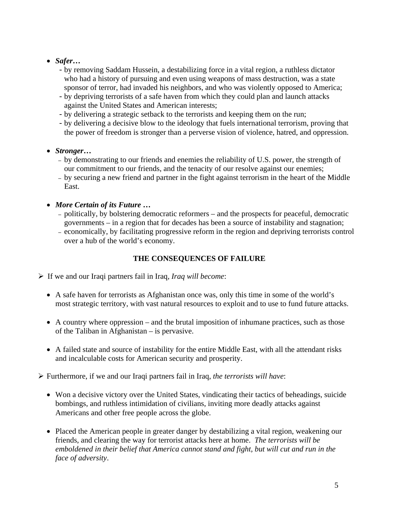- *Safer***…**
	- -by removing Saddam Hussein, a destabilizing force in a vital region, a ruthless dictator who had a history of pursuing and even using weapons of mass destruction, was a state sponsor of terror, had invaded his neighbors, and who was violently opposed to America;
	- -by depriving terrorists of a safe haven from which they could plan and launch attacks against the United States and American interests;
	- -by delivering a strategic setback to the terrorists and keeping them on the run;
	- -by delivering a decisive blow to the ideology that fuels international terrorism, proving that the power of freedom is stronger than a perverse vision of violence, hatred, and oppression.
- *Stronger***…**
	- by demonstrating to our friends and enemies the reliability of U.S. power, the strength of our commitment to our friends, and the tenacity of our resolve against our enemies;
	- by securing a new friend and partner in the fight against terrorism in the heart of the Middle East.
- *More Certain of its Future* **…**
	- politically, by bolstering democratic reformers and the prospects for peaceful, democratic governments – in a region that for decades has been a source of instability and stagnation;
	- economically, by facilitating progressive reform in the region and depriving terrorists control over a hub of the world's economy.

#### **THE CONSEQUENCES OF FAILURE**

¾ If we and our Iraqi partners fail in Iraq*, Iraq will become*:

- A safe haven for terrorists as Afghanistan once was, only this time in some of the world's most strategic territory, with vast natural resources to exploit and to use to fund future attacks.
- A country where oppression and the brutal imposition of inhumane practices, such as those of the Taliban in Afghanistan – is pervasive.
- A failed state and source of instability for the entire Middle East, with all the attendant risks and incalculable costs for American security and prosperity.

¾ Furthermore, if we and our Iraqi partners fail in Iraq, *the terrorists will have*:

- Won a decisive victory over the United States, vindicating their tactics of beheadings, suicide bombings, and ruthless intimidation of civilians, inviting more deadly attacks against Americans and other free people across the globe.
- Placed the American people in greater danger by destabilizing a vital region, weakening our friends, and clearing the way for terrorist attacks here at home. *The terrorists will be emboldened in their belief that America cannot stand and fight, but will cut and run in the face of adversity*.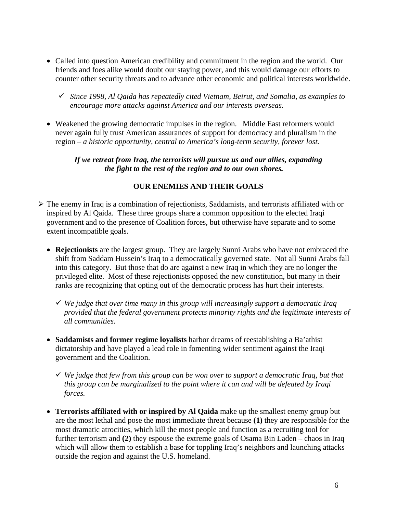- Called into question American credibility and commitment in the region and the world. Our friends and foes alike would doubt our staying power, and this would damage our efforts to counter other security threats and to advance other economic and political interests worldwide.
	- 9 *Since 1998, Al Qaida has repeatedly cited Vietnam, Beirut, and Somalia, as examples to encourage more attacks against America and our interests overseas.*
- Weakened the growing democratic impulses in the region. Middle East reformers would never again fully trust American assurances of support for democracy and pluralism in the region – *a historic opportunity, central to America's long-term security, forever lost.*

#### *If we retreat from Iraq, the terrorists will pursue us and our allies, expanding the fight to the rest of the region and to our own shores.*

## **OUR ENEMIES AND THEIR GOALS**

- $\triangleright$  The enemy in Iraq is a combination of rejectionists, Saddamists, and terrorists affiliated with or inspired by Al Qaida. These three groups share a common opposition to the elected Iraqi government and to the presence of Coalition forces, but otherwise have separate and to some extent incompatible goals.
	- **Rejectionists** are the largest group. They are largely Sunni Arabs who have not embraced the shift from Saddam Hussein's Iraq to a democratically governed state. Not all Sunni Arabs fall into this category. But those that do are against a new Iraq in which they are no longer the privileged elite. Most of these rejectionists opposed the new constitution, but many in their ranks are recognizing that opting out of the democratic process has hurt their interests.
		- 9 *We judge that over time many in this group will increasingly support a democratic Iraq provided that the federal government protects minority rights and the legitimate interests of all communities.*
	- **Saddamists and former regime loyalists** harbor dreams of reestablishing a Ba'athist dictatorship and have played a lead role in fomenting wider sentiment against the Iraqi government and the Coalition.
		- 9 *We judge that few from this group can be won over to support a democratic Iraq, but that this group can be marginalized to the point where it can and will be defeated by Iraqi forces.*
	- **Terrorists affiliated with or inspired by Al Qaida** make up the smallest enemy group but are the most lethal and pose the most immediate threat because **(1)** they are responsible for the most dramatic atrocities, which kill the most people and function as a recruiting tool for further terrorism and **(2)** they espouse the extreme goals of Osama Bin Laden – chaos in Iraq which will allow them to establish a base for toppling Iraq's neighbors and launching attacks outside the region and against the U.S. homeland.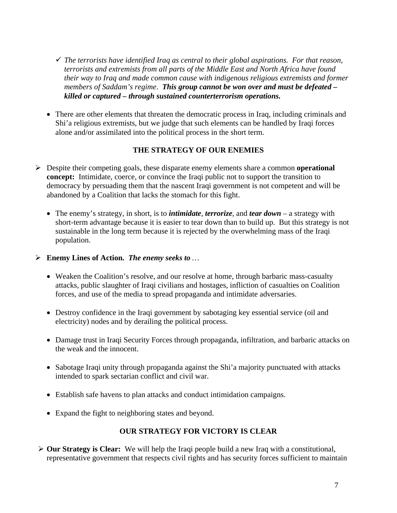- 9 *The terrorists have identified Iraq as central to their global aspirations. For that reason, terrorists and extremists from all parts of the Middle East and North Africa have found their way to Iraq and made common cause with indigenous religious extremists and former members of Saddam's regime*. *This group cannot be won over and must be defeated – killed or captured – through sustained counterterrorism operations.*
- There are other elements that threaten the democratic process in Iraq, including criminals and Shi'a religious extremists, but we judge that such elements can be handled by Iraqi forces alone and/or assimilated into the political process in the short term.

#### **THE STRATEGY OF OUR ENEMIES**

- ¾ Despite their competing goals, these disparate enemy elements share a common **operational concept:** Intimidate, coerce, or convince the Iraqi public not to support the transition to democracy by persuading them that the nascent Iraqi government is not competent and will be abandoned by a Coalition that lacks the stomach for this fight.
	- The enemy's strategy, in short, is to *intimidate*, *terrorize*, and *tear down* a strategy with short-term advantage because it is easier to tear down than to build up. But this strategy is not sustainable in the long term because it is rejected by the overwhelming mass of the Iraqi population.

#### ¾ **Enemy Lines of Action.** *The enemy seeks to …*

- Weaken the Coalition's resolve, and our resolve at home, through barbaric mass-casualty attacks, public slaughter of Iraqi civilians and hostages, infliction of casualties on Coalition forces, and use of the media to spread propaganda and intimidate adversaries.
- Destroy confidence in the Iraqi government by sabotaging key essential service (oil and electricity) nodes and by derailing the political process.
- Damage trust in Iraqi Security Forces through propaganda, infiltration, and barbaric attacks on the weak and the innocent.
- Sabotage Iraqi unity through propaganda against the Shi'a majority punctuated with attacks intended to spark sectarian conflict and civil war.
- Establish safe havens to plan attacks and conduct intimidation campaigns.
- Expand the fight to neighboring states and beyond.

# **OUR STRATEGY FOR VICTORY IS CLEAR**

¾ **Our Strategy is Clear:** We will help the Iraqi people build a new Iraq with a constitutional, representative government that respects civil rights and has security forces sufficient to maintain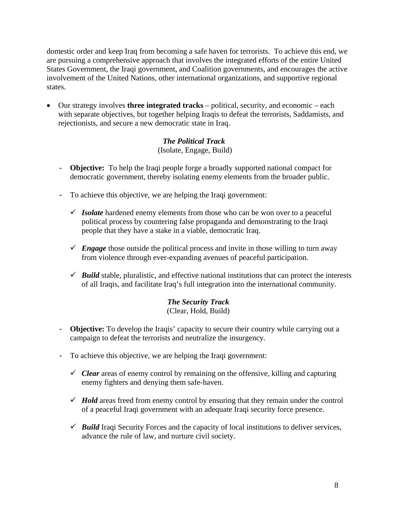domestic order and keep Iraq from becoming a safe haven for terrorists. To achieve this end, we are pursuing a comprehensive approach that involves the integrated efforts of the entire United States Government, the Iraqi government, and Coalition governments, and encourages the active involvement of the United Nations, other international organizations, and supportive regional states.

• Our strategy involves **three integrated tracks** – political, security, and economic – each with separate objectives, but together helping Iraqis to defeat the terrorists, Saddamists, and rejectionists, and secure a new democratic state in Iraq.

#### *The Political Track*  (Isolate, Engage, Build)

- **Objective:** To help the Iraqi people forge a broadly supported national compact for democratic government, thereby isolating enemy elements from the broader public.
- To achieve this objective, we are helping the Iraqi government:
	- $\checkmark$  *Isolate* hardened enemy elements from those who can be won over to a peaceful political process by countering false propaganda and demonstrating to the Iraqi people that they have a stake in a viable, democratic Iraq.
	- $\checkmark$  Engage those outside the political process and invite in those willing to turn away from violence through ever-expanding avenues of peaceful participation.
	- $\checkmark$  *Build* stable, pluralistic, and effective national institutions that can protect the interests of all Iraqis, and facilitate Iraq's full integration into the international community.

# *The Security Track*

(Clear, Hold, Build)

- **Objective:** To develop the Iraqis' capacity to secure their country while carrying out a campaign to defeat the terrorists and neutralize the insurgency.
- To achieve this objective, we are helping the Iraqi government:
	- $\checkmark$  *Clear* areas of enemy control by remaining on the offensive, killing and capturing enemy fighters and denying them safe-haven.
	- $\checkmark$  *Hold* areas freed from enemy control by ensuring that they remain under the control of a peaceful Iraqi government with an adequate Iraqi security force presence.
	- $\checkmark$  *Build* Iraqi Security Forces and the capacity of local institutions to deliver services, advance the rule of law, and nurture civil society.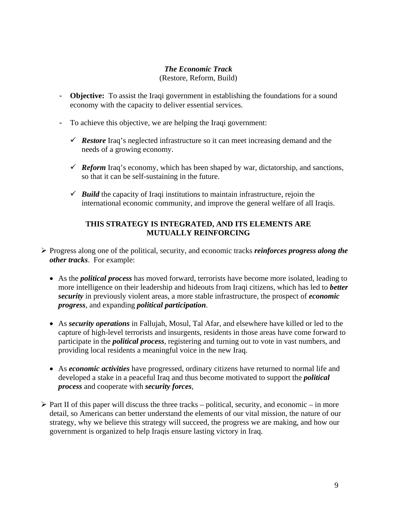#### *The Economic Track*  (Restore, Reform, Build)

- **Objective:** To assist the Iraqi government in establishing the foundations for a sound economy with the capacity to deliver essential services.
- To achieve this objective, we are helping the Iraqi government:
	- $\checkmark$  **Restore** Iraq's neglected infrastructure so it can meet increasing demand and the needs of a growing economy.
	- $\checkmark$  *Reform* Iraq's economy, which has been shaped by war, dictatorship, and sanctions, so that it can be self-sustaining in the future.
	- $\checkmark$  *Build* the capacity of Iraqi institutions to maintain infrastructure, rejoin the international economic community, and improve the general welfare of all Iraqis.

#### **THIS STRATEGY IS INTEGRATED, AND ITS ELEMENTS ARE MUTUALLY REINFORCING**

- ¾ Progress along one of the political, security, and economic tracks *reinforces progress along the other tracks*. For example:
	- As the *political process* has moved forward, terrorists have become more isolated, leading to more intelligence on their leadership and hideouts from Iraqi citizens, which has led to *better security* in previously violent areas, a more stable infrastructure, the prospect of *economic progress*, and expanding *political participation*.
	- As *security operations* in Fallujah, Mosul, Tal Afar, and elsewhere have killed or led to the capture of high-level terrorists and insurgents, residents in those areas have come forward to participate in the *political process*, registering and turning out to vote in vast numbers, and providing local residents a meaningful voice in the new Iraq.
	- As *economic activities* have progressed, ordinary citizens have returned to normal life and developed a stake in a peaceful Iraq and thus become motivated to support the *political process* and cooperate with *security forces*,
- $\triangleright$  Part II of this paper will discuss the three tracks political, security, and economic in more detail, so Americans can better understand the elements of our vital mission, the nature of our strategy, why we believe this strategy will succeed, the progress we are making, and how our government is organized to help Iraqis ensure lasting victory in Iraq.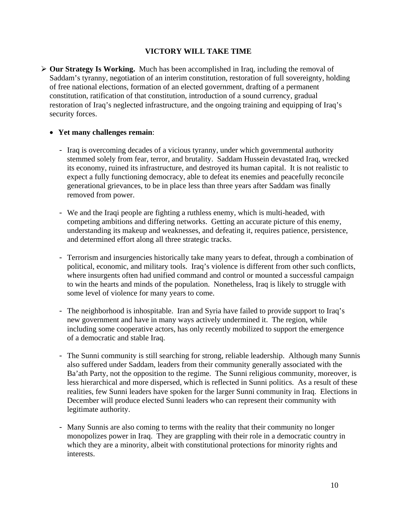#### **VICTORY WILL TAKE TIME**

¾ **Our Strategy Is Working.** Much has been accomplished in Iraq, including the removal of Saddam's tyranny, negotiation of an interim constitution, restoration of full sovereignty, holding of free national elections, formation of an elected government, drafting of a permanent constitution, ratification of that constitution, introduction of a sound currency, gradual restoration of Iraq's neglected infrastructure, and the ongoing training and equipping of Iraq's security forces.

#### • **Yet many challenges remain**:

- Iraq is overcoming decades of a vicious tyranny, under which governmental authority stemmed solely from fear, terror, and brutality. Saddam Hussein devastated Iraq, wrecked its economy, ruined its infrastructure, and destroyed its human capital. It is not realistic to expect a fully functioning democracy, able to defeat its enemies and peacefully reconcile generational grievances, to be in place less than three years after Saddam was finally removed from power.
- We and the Iraqi people are fighting a ruthless enemy, which is multi-headed, with competing ambitions and differing networks. Getting an accurate picture of this enemy, understanding its makeup and weaknesses, and defeating it, requires patience, persistence, and determined effort along all three strategic tracks.
- Terrorism and insurgencies historically take many years to defeat, through a combination of political, economic, and military tools. Iraq's violence is different from other such conflicts, where insurgents often had unified command and control or mounted a successful campaign to win the hearts and minds of the population. Nonetheless, Iraq is likely to struggle with some level of violence for many years to come.
- The neighborhood is inhospitable. Iran and Syria have failed to provide support to Iraq's new government and have in many ways actively undermined it. The region, while including some cooperative actors, has only recently mobilized to support the emergence of a democratic and stable Iraq.
- The Sunni community is still searching for strong, reliable leadership. Although many Sunnis also suffered under Saddam, leaders from their community generally associated with the Ba'ath Party, not the opposition to the regime. The Sunni religious community, moreover, is less hierarchical and more dispersed, which is reflected in Sunni politics. As a result of these realities, few Sunni leaders have spoken for the larger Sunni community in Iraq. Elections in December will produce elected Sunni leaders who can represent their community with legitimate authority.
- Many Sunnis are also coming to terms with the reality that their community no longer monopolizes power in Iraq. They are grappling with their role in a democratic country in which they are a minority, albeit with constitutional protections for minority rights and interests.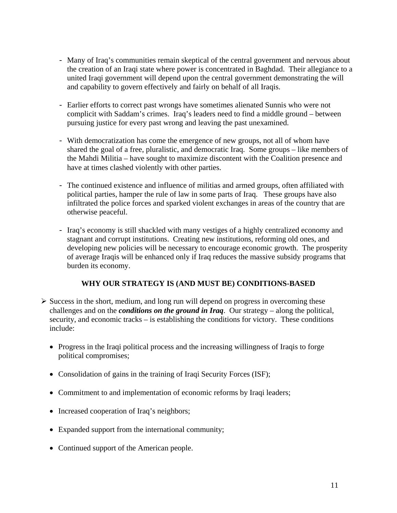- Many of Iraq's communities remain skeptical of the central government and nervous about the creation of an Iraqi state where power is concentrated in Baghdad. Their allegiance to a united Iraqi government will depend upon the central government demonstrating the will and capability to govern effectively and fairly on behalf of all Iraqis.
- Earlier efforts to correct past wrongs have sometimes alienated Sunnis who were not complicit with Saddam's crimes. Iraq's leaders need to find a middle ground – between pursuing justice for every past wrong and leaving the past unexamined.
- With democratization has come the emergence of new groups, not all of whom have shared the goal of a free, pluralistic, and democratic Iraq. Some groups – like members of the Mahdi Militia – have sought to maximize discontent with the Coalition presence and have at times clashed violently with other parties.
- The continued existence and influence of militias and armed groups, often affiliated with political parties, hamper the rule of law in some parts of Iraq. These groups have also infiltrated the police forces and sparked violent exchanges in areas of the country that are otherwise peaceful.
- Iraq's economy is still shackled with many vestiges of a highly centralized economy and stagnant and corrupt institutions. Creating new institutions, reforming old ones, and developing new policies will be necessary to encourage economic growth. The prosperity of average Iraqis will be enhanced only if Iraq reduces the massive subsidy programs that burden its economy.

#### **WHY OUR STRATEGY IS (AND MUST BE) CONDITIONS-BASED**

- $\triangleright$  Success in the short, medium, and long run will depend on progress in overcoming these challenges and on the *conditions on the ground in Iraq*. Our strategy – along the political, security, and economic tracks – is establishing the conditions for victory. These conditions include:
	- Progress in the Iraqi political process and the increasing willingness of Iraqis to forge political compromises;
	- Consolidation of gains in the training of Iraqi Security Forces (ISF);
	- Commitment to and implementation of economic reforms by Iraqi leaders;
	- Increased cooperation of Iraq's neighbors;
	- Expanded support from the international community;
	- Continued support of the American people.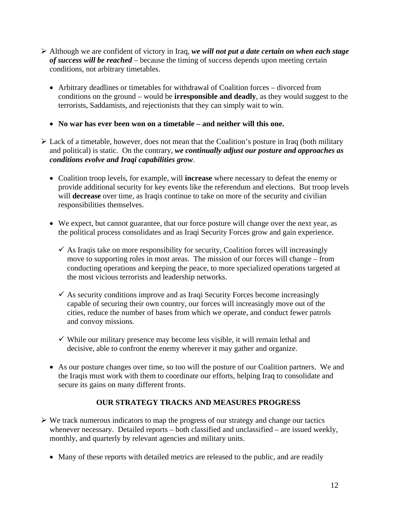- ¾ Although we are confident of victory in Iraq, *we will not put a date certain on when each stage of success will be reached* – because the timing of success depends upon meeting certain conditions, not arbitrary timetables.
	- Arbitrary deadlines or timetables for withdrawal of Coalition forces divorced from conditions on the ground – would be **irresponsible and deadly**, as they would suggest to the terrorists, Saddamists, and rejectionists that they can simply wait to win.
	- **No war has ever been won on a timetable and neither will this one.**
- $\triangleright$  Lack of a timetable, however, does not mean that the Coalition's posture in Iraq (both military and political) is static. On the contrary, *we continually adjust our posture and approaches as conditions evolve and Iraqi capabilities grow*.
	- Coalition troop levels, for example, will **increase** where necessary to defeat the enemy or provide additional security for key events like the referendum and elections. But troop levels will **decrease** over time, as Iraqis continue to take on more of the security and civilian responsibilities themselves.
	- We expect, but cannot guarantee, that our force posture will change over the next year, as the political process consolidates and as Iraqi Security Forces grow and gain experience.
		- $\checkmark$  As Iraqis take on more responsibility for security, Coalition forces will increasingly move to supporting roles in most areas. The mission of our forces will change – from conducting operations and keeping the peace, to more specialized operations targeted at the most vicious terrorists and leadership networks.
		- $\checkmark$  As security conditions improve and as Iraqi Security Forces become increasingly capable of securing their own country, our forces will increasingly move out of the cities, reduce the number of bases from which we operate, and conduct fewer patrols and convoy missions.
		- $\checkmark$  While our military presence may become less visible, it will remain lethal and decisive, able to confront the enemy wherever it may gather and organize.
	- As our posture changes over time, so too will the posture of our Coalition partners. We and the Iraqis must work with them to coordinate our efforts, helping Iraq to consolidate and secure its gains on many different fronts.

# **OUR STRATEGY TRACKS AND MEASURES PROGRESS**

- $\triangleright$  We track numerous indicators to map the progress of our strategy and change our tactics whenever necessary. Detailed reports – both classified and unclassified – are issued weekly, monthly, and quarterly by relevant agencies and military units.
	- Many of these reports with detailed metrics are released to the public, and are readily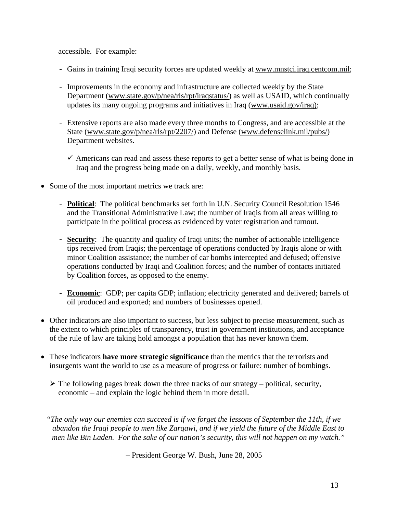accessible. For example:

- Gains in training Iraqi security forces are updated weekly at www.mnstci.iraq.centcom.mil;
- Improvements in the economy and infrastructure are collected weekly by the State Department (www.state.gov/p/nea/rls/rpt/iraqstatus/) as well as USAID, which continually updates its many ongoing programs and initiatives in Iraq (www.usaid.gov/iraq);
- Extensive reports are also made every three months to Congress, and are accessible at the State (www.state.gov/p/nea/rls/rpt/2207/) and Defense (www.defenselink.mil/pubs/) Department websites.
	- $\checkmark$  Americans can read and assess these reports to get a better sense of what is being done in Iraq and the progress being made on a daily, weekly, and monthly basis.
- Some of the most important metrics we track are:
	- **Political**: The political benchmarks set forth in U.N. Security Council Resolution 1546 and the Transitional Administrative Law; the number of Iraqis from all areas willing to participate in the political process as evidenced by voter registration and turnout.
	- **Security**: The quantity and quality of Iraqi units; the number of actionable intelligence tips received from Iraqis; the percentage of operations conducted by Iraqis alone or with minor Coalition assistance; the number of car bombs intercepted and defused; offensive operations conducted by Iraqi and Coalition forces; and the number of contacts initiated by Coalition forces, as opposed to the enemy.
	- **Economic**: GDP; per capita GDP; inflation; electricity generated and delivered; barrels of oil produced and exported; and numbers of businesses opened.
- Other indicators are also important to success, but less subject to precise measurement, such as the extent to which principles of transparency, trust in government institutions, and acceptance of the rule of law are taking hold amongst a population that has never known them.
- These indicators **have more strategic significance** than the metrics that the terrorists and insurgents want the world to use as a measure of progress or failure: number of bombings.
	- $\triangleright$  The following pages break down the three tracks of our strategy political, security, economic – and explain the logic behind them in more detail.

"*The only way our enemies can succeed is if we forget the lessons of September the 11th, if we abandon the Iraqi people to men like Zarqawi, and if we yield the future of the Middle East to men like Bin Laden. For the sake of our nation's security, this will not happen on my watch."* 

*–* President George W. Bush, June 28, 2005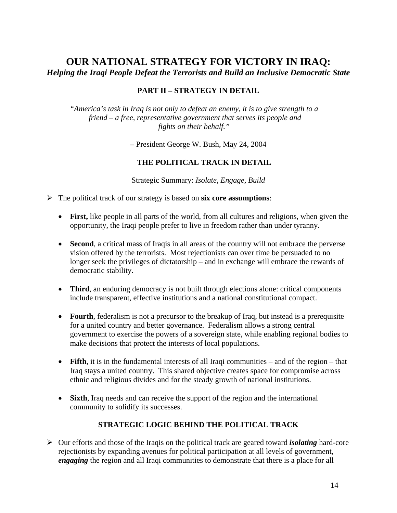# **OUR NATIONAL STRATEGY FOR VICTORY IN IRAQ:**  *Helping the Iraqi People Defeat the Terrorists and Build an Inclusive Democratic State*

#### **PART II – STRATEGY IN DETAIL**

*"America's task in Iraq is not only to defeat an enemy, it is to give strength to a friend – a free, representative government that serves its people and fights on their behalf."* 

**–** President George W. Bush, May 24, 2004

#### **THE POLITICAL TRACK IN DETAIL**

Strategic Summary: *Isolate, Engage, Build* 

¾ The political track of our strategy is based on **six core assumptions**:

- **First,** like people in all parts of the world, from all cultures and religions, when given the opportunity, the Iraqi people prefer to live in freedom rather than under tyranny.
- **Second**, a critical mass of Iraqis in all areas of the country will not embrace the perverse vision offered by the terrorists. Most rejectionists can over time be persuaded to no longer seek the privileges of dictatorship – and in exchange will embrace the rewards of democratic stability.
- **Third**, an enduring democracy is not built through elections alone: critical components include transparent, effective institutions and a national constitutional compact.
- **Fourth**, federalism is not a precursor to the breakup of Iraq, but instead is a prerequisite for a united country and better governance. Federalism allows a strong central government to exercise the powers of a sovereign state, while enabling regional bodies to make decisions that protect the interests of local populations.
- **Fifth**, it is in the fundamental interests of all Iraqi communities and of the region that Iraq stays a united country. This shared objective creates space for compromise across ethnic and religious divides and for the steady growth of national institutions.
- **Sixth**, Iraq needs and can receive the support of the region and the international community to solidify its successes.

#### **STRATEGIC LOGIC BEHIND THE POLITICAL TRACK**

¾ Our efforts and those of the Iraqis on the political track are geared toward *isolating* hard-core rejectionists by expanding avenues for political participation at all levels of government, *engaging* the region and all Iraqi communities to demonstrate that there is a place for all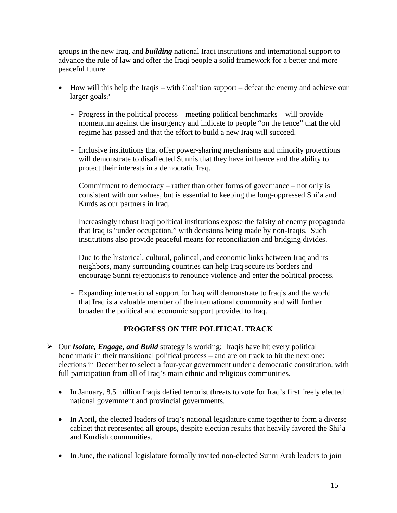groups in the new Iraq, and *building* national Iraqi institutions and international support to advance the rule of law and offer the Iraqi people a solid framework for a better and more peaceful future.

- How will this help the Iraqis with Coalition support defeat the enemy and achieve our larger goals?
	- Progress in the political process meeting political benchmarks will provide momentum against the insurgency and indicate to people "on the fence" that the old regime has passed and that the effort to build a new Iraq will succeed.
	- Inclusive institutions that offer power-sharing mechanisms and minority protections will demonstrate to disaffected Sunnis that they have influence and the ability to protect their interests in a democratic Iraq.
	- Commitment to democracy rather than other forms of governance not only is consistent with our values, but is essential to keeping the long-oppressed Shi'a and Kurds as our partners in Iraq.
	- Increasingly robust Iraqi political institutions expose the falsity of enemy propaganda that Iraq is "under occupation," with decisions being made by non-Iraqis. Such institutions also provide peaceful means for reconciliation and bridging divides.
	- Due to the historical, cultural, political, and economic links between Iraq and its neighbors, many surrounding countries can help Iraq secure its borders and encourage Sunni rejectionists to renounce violence and enter the political process.
	- Expanding international support for Iraq will demonstrate to Iraqis and the world that Iraq is a valuable member of the international community and will further broaden the political and economic support provided to Iraq.

# **PROGRESS ON THE POLITICAL TRACK**

- ¾ Our *Isolate, Engage, and Build* strategy is working:Iraqis have hit every political benchmark in their transitional political process – and are on track to hit the next one: elections in December to select a four-year government under a democratic constitution, with full participation from all of Iraq's main ethnic and religious communities.
	- In January, 8.5 million Iraqis defied terrorist threats to vote for Iraq's first freely elected national government and provincial governments.
	- In April, the elected leaders of Iraq's national legislature came together to form a diverse cabinet that represented all groups, despite election results that heavily favored the Shi'a and Kurdish communities.
	- In June, the national legislature formally invited non-elected Sunni Arab leaders to join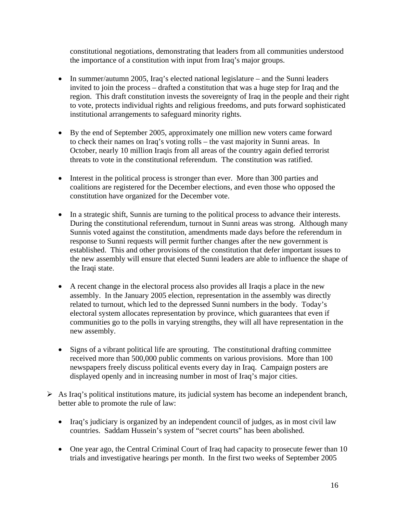constitutional negotiations, demonstrating that leaders from all communities understood the importance of a constitution with input from Iraq's major groups.

- In summer/autumn 2005, Iraq's elected national legislature and the Sunni leaders invited to join the process – drafted a constitution that was a huge step for Iraq and the region. This draft constitution invests the sovereignty of Iraq in the people and their right to vote, protects individual rights and religious freedoms, and puts forward sophisticated institutional arrangements to safeguard minority rights.
- By the end of September 2005, approximately one million new voters came forward to check their names on Iraq's voting rolls – the vast majority in Sunni areas. In October, nearly 10 million Iraqis from all areas of the country again defied terrorist threats to vote in the constitutional referendum. The constitution was ratified.
- Interest in the political process is stronger than ever. More than 300 parties and coalitions are registered for the December elections, and even those who opposed the constitution have organized for the December vote.
- In a strategic shift, Sunnis are turning to the political process to advance their interests. During the constitutional referendum, turnout in Sunni areas was strong. Although many Sunnis voted against the constitution, amendments made days before the referendum in response to Sunni requests will permit further changes after the new government is established. This and other provisions of the constitution that defer important issues to the new assembly will ensure that elected Sunni leaders are able to influence the shape of the Iraqi state.
- A recent change in the electoral process also provides all Iraqis a place in the new assembly. In the January 2005 election, representation in the assembly was directly related to turnout, which led to the depressed Sunni numbers in the body. Today's electoral system allocates representation by province, which guarantees that even if communities go to the polls in varying strengths, they will all have representation in the new assembly.
- Signs of a vibrant political life are sprouting. The constitutional drafting committee received more than 500,000 public comments on various provisions. More than 100 newspapers freely discuss political events every day in Iraq. Campaign posters are displayed openly and in increasing number in most of Iraq's major cities.
- $\triangleright$  As Iraq's political institutions mature, its judicial system has become an independent branch, better able to promote the rule of law:
	- Iraq's judiciary is organized by an independent council of judges, as in most civil law countries. Saddam Hussein's system of "secret courts" has been abolished.
	- One year ago, the Central Criminal Court of Iraq had capacity to prosecute fewer than 10 trials and investigative hearings per month. In the first two weeks of September 2005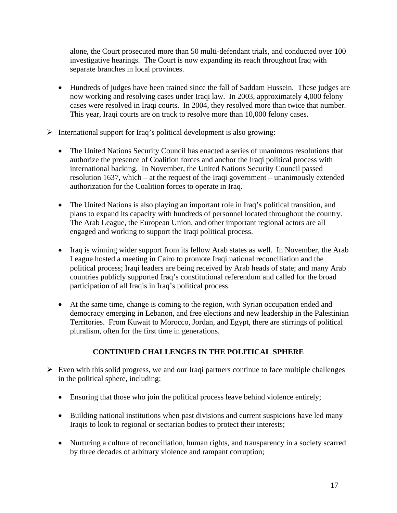alone, the Court prosecuted more than 50 multi-defendant trials, and conducted over 100 investigative hearings. The Court is now expanding its reach throughout Iraq with separate branches in local provinces.

- Hundreds of judges have been trained since the fall of Saddam Hussein. These judges are now working and resolving cases under Iraqi law. In 2003, approximately 4,000 felony cases were resolved in Iraqi courts. In 2004, they resolved more than twice that number. This year, Iraqi courts are on track to resolve more than 10,000 felony cases.
- $\triangleright$  International support for Iraq's political development is also growing:
	- The United Nations Security Council has enacted a series of unanimous resolutions that authorize the presence of Coalition forces and anchor the Iraqi political process with international backing. In November, the United Nations Security Council passed resolution 1637, which – at the request of the Iraqi government – unanimously extended authorization for the Coalition forces to operate in Iraq.
	- The United Nations is also playing an important role in Iraq's political transition, and plans to expand its capacity with hundreds of personnel located throughout the country. The Arab League, the European Union, and other important regional actors are all engaged and working to support the Iraqi political process.
	- Iraq is winning wider support from its fellow Arab states as well. In November, the Arab League hosted a meeting in Cairo to promote Iraqi national reconciliation and the political process; Iraqi leaders are being received by Arab heads of state; and many Arab countries publicly supported Iraq's constitutional referendum and called for the broad participation of all Iraqis in Iraq's political process.
	- At the same time, change is coming to the region, with Syrian occupation ended and democracy emerging in Lebanon, and free elections and new leadership in the Palestinian Territories. From Kuwait to Morocco, Jordan, and Egypt, there are stirrings of political pluralism, often for the first time in generations.

# **CONTINUED CHALLENGES IN THE POLITICAL SPHERE**

- $\triangleright$  Even with this solid progress, we and our Iraqi partners continue to face multiple challenges in the political sphere, including:
	- Ensuring that those who join the political process leave behind violence entirely;
	- Building national institutions when past divisions and current suspicions have led many Iraqis to look to regional or sectarian bodies to protect their interests;
	- Nurturing a culture of reconciliation, human rights, and transparency in a society scarred by three decades of arbitrary violence and rampant corruption;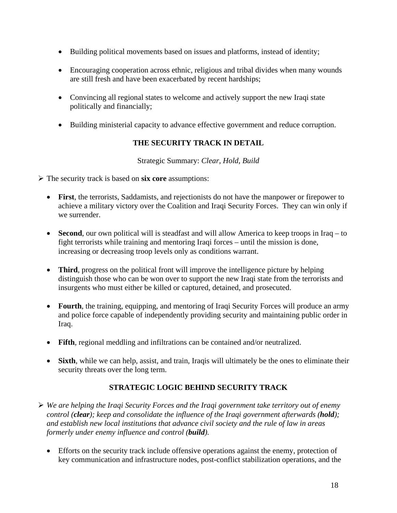- Building political movements based on issues and platforms, instead of identity;
- Encouraging cooperation across ethnic, religious and tribal divides when many wounds are still fresh and have been exacerbated by recent hardships;
- Convincing all regional states to welcome and actively support the new Iraqi state politically and financially;
- Building ministerial capacity to advance effective government and reduce corruption.

# **THE SECURITY TRACK IN DETAIL**

Strategic Summary: *Clear, Hold, Build* 

¾ The security track is based on **six core** assumptions:

- **First**, the terrorists, Saddamists, and rejectionists do not have the manpower or firepower to achieve a military victory over the Coalition and Iraqi Security Forces. They can win only if we surrender.
- **Second**, our own political will is steadfast and will allow America to keep troops in Iraq to fight terrorists while training and mentoring Iraqi forces – until the mission is done, increasing or decreasing troop levels only as conditions warrant.
- **Third**, progress on the political front will improve the intelligence picture by helping distinguish those who can be won over to support the new Iraqi state from the terrorists and insurgents who must either be killed or captured, detained, and prosecuted.
- **Fourth**, the training, equipping, and mentoring of Iraqi Security Forces will produce an army and police force capable of independently providing security and maintaining public order in Iraq.
- **Fifth**, regional meddling and infiltrations can be contained and/or neutralized.
- **Sixth**, while we can help, assist, and train, Iraqis will ultimately be the ones to eliminate their security threats over the long term.

# **STRATEGIC LOGIC BEHIND SECURITY TRACK**

- ¾ *We are helping the Iraqi Security Forces and the Iraqi government take territory out of enemy control (clear); keep and consolidate the influence of the Iraqi government afterwards (hold); and establish new local institutions that advance civil society and the rule of law in areas formerly under enemy influence and control (build).* 
	- Efforts on the security track include offensive operations against the enemy, protection of key communication and infrastructure nodes, post-conflict stabilization operations, and the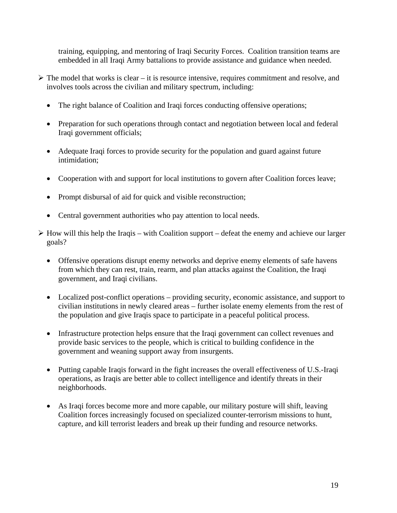training, equipping, and mentoring of Iraqi Security Forces. Coalition transition teams are embedded in all Iraqi Army battalions to provide assistance and guidance when needed.

- $\triangleright$  The model that works is clear it is resource intensive, requires commitment and resolve, and involves tools across the civilian and military spectrum, including:
	- The right balance of Coalition and Iraqi forces conducting offensive operations;
	- Preparation for such operations through contact and negotiation between local and federal Iraqi government officials;
	- Adequate Iraqi forces to provide security for the population and guard against future intimidation;
	- Cooperation with and support for local institutions to govern after Coalition forces leave;
	- Prompt disbursal of aid for quick and visible reconstruction;
	- Central government authorities who pay attention to local needs.
- $\triangleright$  How will this help the Iraqis with Coalition support defeat the enemy and achieve our larger goals?
	- Offensive operations disrupt enemy networks and deprive enemy elements of safe havens from which they can rest, train, rearm, and plan attacks against the Coalition, the Iraqi government, and Iraqi civilians.
	- Localized post-conflict operations providing security, economic assistance, and support to civilian institutions in newly cleared areas – further isolate enemy elements from the rest of the population and give Iraqis space to participate in a peaceful political process.
	- Infrastructure protection helps ensure that the Iraqi government can collect revenues and provide basic services to the people, which is critical to building confidence in the government and weaning support away from insurgents.
	- Putting capable Iraqis forward in the fight increases the overall effectiveness of U.S.-Iraqi operations, as Iraqis are better able to collect intelligence and identify threats in their neighborhoods.
	- As Iraqi forces become more and more capable, our military posture will shift, leaving Coalition forces increasingly focused on specialized counter-terrorism missions to hunt, capture, and kill terrorist leaders and break up their funding and resource networks.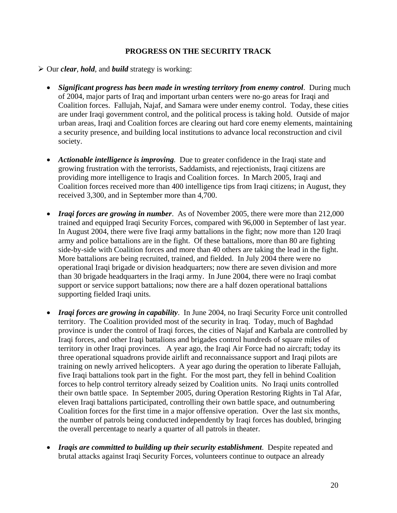#### **PROGRESS ON THE SECURITY TRACK**

- ¾ Our *clear*, *hold*, and *build* strategy is working:
	- *Significant progress has been made in wresting territory from enemy control*. During much of 2004, major parts of Iraq and important urban centers were no-go areas for Iraqi and Coalition forces. Fallujah, Najaf, and Samara were under enemy control. Today, these cities are under Iraqi government control, and the political process is taking hold. Outside of major urban areas, Iraqi and Coalition forces are clearing out hard core enemy elements, maintaining a security presence, and building local institutions to advance local reconstruction and civil society.
	- *Actionable intelligence is improving.* Due to greater confidence in the Iraqi state and growing frustration with the terrorists, Saddamists, and rejectionists, Iraqi citizens are providing more intelligence to Iraqis and Coalition forces. In March 2005, Iraqi and Coalition forces received more than 400 intelligence tips from Iraqi citizens; in August, they received 3,300, and in September more than 4,700.
	- *Iraqi forces are growing in number*. As of November 2005, there were more than 212,000 trained and equipped Iraqi Security Forces, compared with 96,000 in September of last year. In August 2004, there were five Iraqi army battalions in the fight; now more than 120 Iraqi army and police battalions are in the fight. Of these battalions, more than 80 are fighting side-by-side with Coalition forces and more than 40 others are taking the lead in the fight. More battalions are being recruited, trained, and fielded. In July 2004 there were no operational Iraqi brigade or division headquarters; now there are seven division and more than 30 brigade headquarters in the Iraqi army. In June 2004, there were no Iraqi combat support or service support battalions; now there are a half dozen operational battalions supporting fielded Iraqi units.
	- *Iraqi forces are growing in capability*. In June 2004, no Iraqi Security Force unit controlled territory. The Coalition provided most of the security in Iraq. Today, much of Baghdad province is under the control of Iraqi forces, the cities of Najaf and Karbala are controlled by Iraqi forces, and other Iraqi battalions and brigades control hundreds of square miles of territory in other Iraqi provinces. A year ago, the Iraqi Air Force had no aircraft; today its three operational squadrons provide airlift and reconnaissance support and Iraqi pilots are training on newly arrived helicopters. A year ago during the operation to liberate Fallujah, five Iraqi battalions took part in the fight. For the most part, they fell in behind Coalition forces to help control territory already seized by Coalition units. No Iraqi units controlled their own battle space. In September 2005, during Operation Restoring Rights in Tal Afar, eleven Iraqi battalions participated, controlling their own battle space, and outnumbering Coalition forces for the first time in a major offensive operation. Over the last six months, the number of patrols being conducted independently by Iraqi forces has doubled, bringing the overall percentage to nearly a quarter of all patrols in theater.
	- *Iraqis are committed to building up their security establishment*. Despite repeated and brutal attacks against Iraqi Security Forces, volunteers continue to outpace an already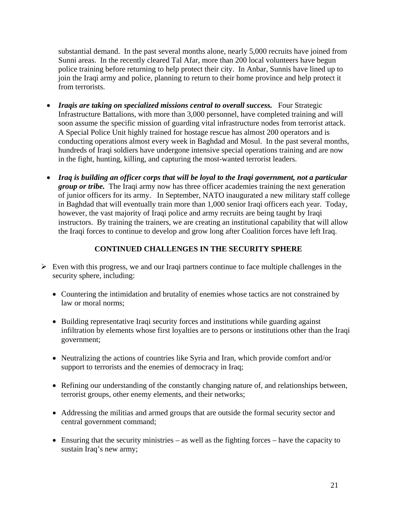substantial demand. In the past several months alone, nearly 5,000 recruits have joined from Sunni areas. In the recently cleared Tal Afar, more than 200 local volunteers have begun police training before returning to help protect their city. In Anbar, Sunnis have lined up to join the Iraqi army and police, planning to return to their home province and help protect it from terrorists.

- *Iraqis are taking on specialized missions central to overall success.* Four Strategic Infrastructure Battalions, with more than 3,000 personnel, have completed training and will soon assume the specific mission of guarding vital infrastructure nodes from terrorist attack. A Special Police Unit highly trained for hostage rescue has almost 200 operators and is conducting operations almost every week in Baghdad and Mosul. In the past several months, hundreds of Iraqi soldiers have undergone intensive special operations training and are now in the fight, hunting, killing, and capturing the most-wanted terrorist leaders.
- *Iraq is building an officer corps that will be loyal to the Iraqi government, not a particular group or tribe.* The Iraqi army now has three officer academies training the next generation of junior officers for its army. In September, NATO inaugurated a new military staff college in Baghdad that will eventually train more than 1,000 senior Iraqi officers each year. Today, however, the vast majority of Iraqi police and army recruits are being taught by Iraqi instructors. By training the trainers, we are creating an institutional capability that will allow the Iraqi forces to continue to develop and grow long after Coalition forces have left Iraq.

## **CONTINUED CHALLENGES IN THE SECURITY SPHERE**

- $\triangleright$  Even with this progress, we and our Iraqi partners continue to face multiple challenges in the security sphere, including:
	- Countering the intimidation and brutality of enemies whose tactics are not constrained by law or moral norms;
	- Building representative Iraqi security forces and institutions while guarding against infiltration by elements whose first loyalties are to persons or institutions other than the Iraqi government;
	- Neutralizing the actions of countries like Syria and Iran, which provide comfort and/or support to terrorists and the enemies of democracy in Iraq;
	- Refining our understanding of the constantly changing nature of, and relationships between, terrorist groups, other enemy elements, and their networks;
	- Addressing the militias and armed groups that are outside the formal security sector and central government command;
	- Ensuring that the security ministries as well as the fighting forces have the capacity to sustain Iraq's new army;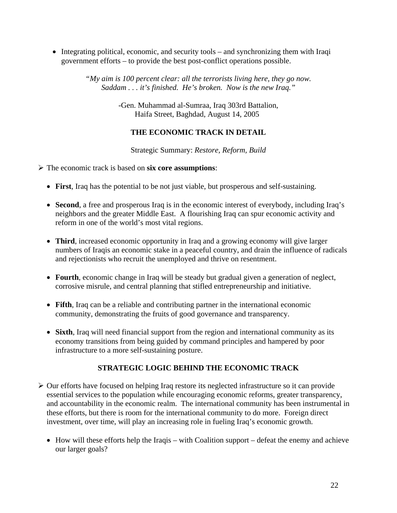• Integrating political, economic, and security tools – and synchronizing them with Iraqi government efforts – to provide the best post-conflict operations possible.

> *"My aim is 100 percent clear: all the terrorists living here, they go now. Saddam . . . it's finished. He's broken. Now is the new Iraq."*

> > -Gen. Muhammad al-Sumraa, Iraq 303rd Battalion, Haifa Street, Baghdad, August 14, 2005

# **THE ECONOMIC TRACK IN DETAIL**

Strategic Summary: *Restore, Reform, Build*

¾ The economic track is based on **six core assumptions**:

- **First**, Iraq has the potential to be not just viable, but prosperous and self-sustaining.
- **Second**, a free and prosperous Iraq is in the economic interest of everybody, including Iraq's neighbors and the greater Middle East. A flourishing Iraq can spur economic activity and reform in one of the world's most vital regions.
- **Third**, increased economic opportunity in Iraq and a growing economy will give larger numbers of Iraqis an economic stake in a peaceful country, and drain the influence of radicals and rejectionists who recruit the unemployed and thrive on resentment.
- **Fourth**, economic change in Iraq will be steady but gradual given a generation of neglect, corrosive misrule, and central planning that stifled entrepreneurship and initiative.
- **Fifth**, Iraq can be a reliable and contributing partner in the international economic community, demonstrating the fruits of good governance and transparency.
- **Sixth**, Iraq will need financial support from the region and international community as its economy transitions from being guided by command principles and hampered by poor infrastructure to a more self-sustaining posture.

#### **STRATEGIC LOGIC BEHIND THE ECONOMIC TRACK**

- $\triangleright$  Our efforts have focused on helping Iraq restore its neglected infrastructure so it can provide essential services to the population while encouraging economic reforms, greater transparency, and accountability in the economic realm. The international community has been instrumental in these efforts, but there is room for the international community to do more. Foreign direct investment, over time, will play an increasing role in fueling Iraq's economic growth.
	- How will these efforts help the Iraqis with Coalition support defeat the enemy and achieve our larger goals?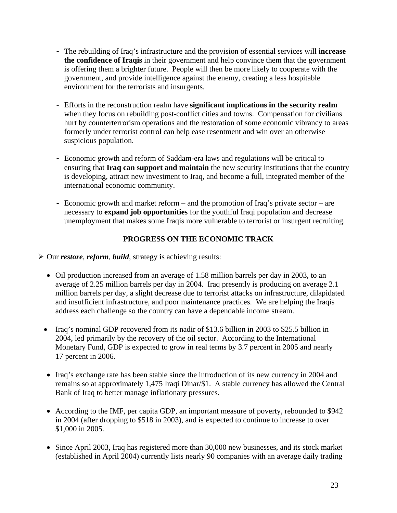- The rebuilding of Iraq's infrastructure and the provision of essential services will **increase the confidence of Iraqis** in their government and help convince them that the government is offering them a brighter future. People will then be more likely to cooperate with the government, and provide intelligence against the enemy, creating a less hospitable environment for the terrorists and insurgents.
- Efforts in the reconstruction realm have **significant implications in the security realm** when they focus on rebuilding post-conflict cities and towns. Compensation for civilians hurt by counterterrorism operations and the restoration of some economic vibrancy to areas formerly under terrorist control can help ease resentment and win over an otherwise suspicious population.
- Economic growth and reform of Saddam-era laws and regulations will be critical to ensuring that **Iraq can support and maintain** the new security institutions that the country is developing, attract new investment to Iraq, and become a full, integrated member of the international economic community.
- Economic growth and market reform and the promotion of Iraq's private sector are necessary to **expand job opportunities** for the youthful Iraqi population and decrease unemployment that makes some Iraqis more vulnerable to terrorist or insurgent recruiting.

# **PROGRESS ON THE ECONOMIC TRACK**

¾ Our *restore*, *reform*, *build*, strategy is achieving results:

- Oil production increased from an average of 1.58 million barrels per day in 2003, to an average of 2.25 million barrels per day in 2004. Iraq presently is producing on average 2.1 million barrels per day, a slight decrease due to terrorist attacks on infrastructure, dilapidated and insufficient infrastructure, and poor maintenance practices. We are helping the Iraqis address each challenge so the country can have a dependable income stream.
- Iraq's nominal GDP recovered from its nadir of \$13.6 billion in 2003 to \$25.5 billion in 2004, led primarily by the recovery of the oil sector. According to the International Monetary Fund, GDP is expected to grow in real terms by 3.7 percent in 2005 and nearly 17 percent in 2006.
- Iraq's exchange rate has been stable since the introduction of its new currency in 2004 and remains so at approximately 1,475 Iraqi Dinar/\$1. A stable currency has allowed the Central Bank of Iraq to better manage inflationary pressures.
- According to the IMF, per capita GDP, an important measure of poverty, rebounded to \$942 in 2004 (after dropping to \$518 in 2003), and is expected to continue to increase to over \$1,000 in 2005.
- Since April 2003, Iraq has registered more than 30,000 new businesses, and its stock market (established in April 2004) currently lists nearly 90 companies with an average daily trading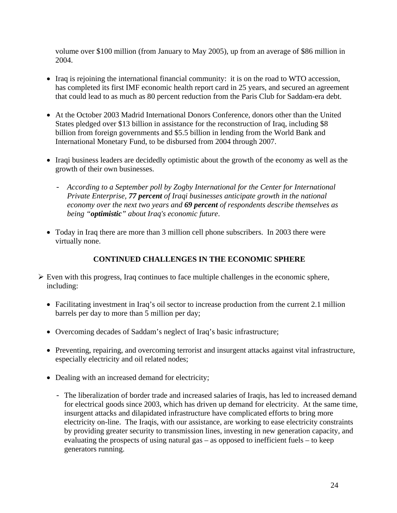volume over \$100 million (from January to May 2005), up from an average of \$86 million in 2004.

- Iraq is rejoining the international financial community: it is on the road to WTO accession, has completed its first IMF economic health report card in 25 years, and secured an agreement that could lead to as much as 80 percent reduction from the Paris Club for Saddam-era debt.
- At the October 2003 Madrid International Donors Conference, donors other than the United States pledged over \$13 billion in assistance for the reconstruction of Iraq, including \$8 billion from foreign governments and \$5.5 billion in lending from the World Bank and International Monetary Fund, to be disbursed from 2004 through 2007.
- Iraqi business leaders are decidedly optimistic about the growth of the economy as well as the growth of their own businesses.
	- *According to a September poll by Zogby International for the Center for International Private Enterprise, 77 percent of Iraqi businesses anticipate growth in the national economy over the next two years and 69 percent of respondents describe themselves as being "optimistic" about Iraq's economic future*.
- Today in Iraq there are more than 3 million cell phone subscribers. In 2003 there were virtually none.

# **CONTINUED CHALLENGES IN THE ECONOMIC SPHERE**

- $\triangleright$  Even with this progress, Iraq continues to face multiple challenges in the economic sphere, including:
	- Facilitating investment in Iraq's oil sector to increase production from the current 2.1 million barrels per day to more than 5 million per day;
	- Overcoming decades of Saddam's neglect of Iraq's basic infrastructure;
	- Preventing, repairing, and overcoming terrorist and insurgent attacks against vital infrastructure, especially electricity and oil related nodes;
	- Dealing with an increased demand for electricity;
		- The liberalization of border trade and increased salaries of Iraqis, has led to increased demand for electrical goods since 2003, which has driven up demand for electricity. At the same time, insurgent attacks and dilapidated infrastructure have complicated efforts to bring more electricity on-line. The Iraqis, with our assistance, are working to ease electricity constraints by providing greater security to transmission lines, investing in new generation capacity, and evaluating the prospects of using natural gas – as opposed to inefficient fuels – to keep generators running.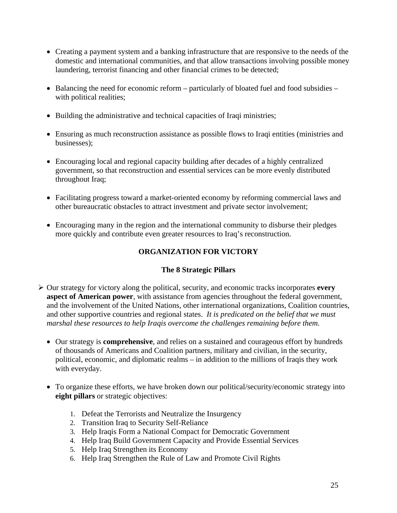- Creating a payment system and a banking infrastructure that are responsive to the needs of the domestic and international communities, and that allow transactions involving possible money laundering, terrorist financing and other financial crimes to be detected;
- Balancing the need for economic reform particularly of bloated fuel and food subsidies with political realities;
- Building the administrative and technical capacities of Iraqi ministries;
- Ensuring as much reconstruction assistance as possible flows to Iraqi entities (ministries and businesses);
- Encouraging local and regional capacity building after decades of a highly centralized government, so that reconstruction and essential services can be more evenly distributed throughout Iraq;
- Facilitating progress toward a market-oriented economy by reforming commercial laws and other bureaucratic obstacles to attract investment and private sector involvement;
- Encouraging many in the region and the international community to disburse their pledges more quickly and contribute even greater resources to Iraq's reconstruction.

# **ORGANIZATION FOR VICTORY**

# **The 8 Strategic Pillars**

- ¾ Our strategy for victory along the political, security, and economic tracks incorporates **every aspect of American power**, with assistance from agencies throughout the federal government, and the involvement of the United Nations, other international organizations, Coalition countries, and other supportive countries and regional states. *It is predicated on the belief that we must marshal these resources to help Iraqis overcome the challenges remaining before them.*
	- Our strategy is **comprehensive**, and relies on a sustained and courageous effort by hundreds of thousands of Americans and Coalition partners, military and civilian, in the security, political, economic, and diplomatic realms – in addition to the millions of Iraqis they work with everyday.
	- To organize these efforts, we have broken down our political/security/economic strategy into **eight pillars** or strategic objectives:
		- 1. Defeat the Terrorists and Neutralize the Insurgency
		- 2. Transition Iraq to Security Self-Reliance
		- 3. Help Iraqis Form a National Compact for Democratic Government
		- 4. Help Iraq Build Government Capacity and Provide Essential Services
		- 5. Help Iraq Strengthen its Economy
		- 6. Help Iraq Strengthen the Rule of Law and Promote Civil Rights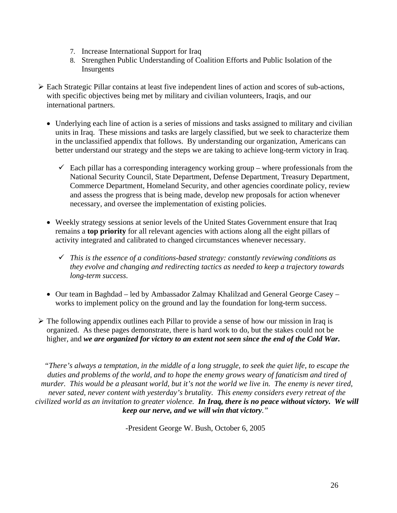- 7. Increase International Support for Iraq
- 8. Strengthen Public Understanding of Coalition Efforts and Public Isolation of the Insurgents
- $\triangleright$  Each Strategic Pillar contains at least five independent lines of action and scores of sub-actions, with specific objectives being met by military and civilian volunteers, Iraqis, and our international partners.
	- Underlying each line of action is a series of missions and tasks assigned to military and civilian units in Iraq. These missions and tasks are largely classified, but we seek to characterize them in the unclassified appendix that follows. By understanding our organization, Americans can better understand our strategy and the steps we are taking to achieve long-term victory in Iraq.
		- $\checkmark$  Each pillar has a corresponding interagency working group where professionals from the National Security Council, State Department, Defense Department, Treasury Department, Commerce Department, Homeland Security, and other agencies coordinate policy, review and assess the progress that is being made, develop new proposals for action whenever necessary, and oversee the implementation of existing policies.
	- Weekly strategy sessions at senior levels of the United States Government ensure that Iraq remains a **top priority** for all relevant agencies with actions along all the eight pillars of activity integrated and calibrated to changed circumstances whenever necessary.
		- 9 *This is the essence of a conditions-based strategy: constantly reviewing conditions as they evolve and changing and redirecting tactics as needed to keep a trajectory towards long-term success*.
	- Our team in Baghdad led by Ambassador Zalmay Khalilzad and General George Casey works to implement policy on the ground and lay the foundation for long-term success.
- $\triangleright$  The following appendix outlines each Pillar to provide a sense of how our mission in Iraq is organized. As these pages demonstrate, there is hard work to do, but the stakes could not be higher, and *we are organized for victory to an extent not seen since the end of the Cold War.*

*"There's always a temptation, in the middle of a long struggle, to seek the quiet life, to escape the duties and problems of the world, and to hope the enemy grows weary of fanaticism and tired of murder. This would be a pleasant world, but it's not the world we live in. The enemy is never tired, never sated, never content with yesterday's brutality. This enemy considers every retreat of the civilized world as an invitation to greater violence. In Iraq, there is no peace without victory. We will keep our nerve, and we will win that victory."* 

-President George W. Bush, October 6, 2005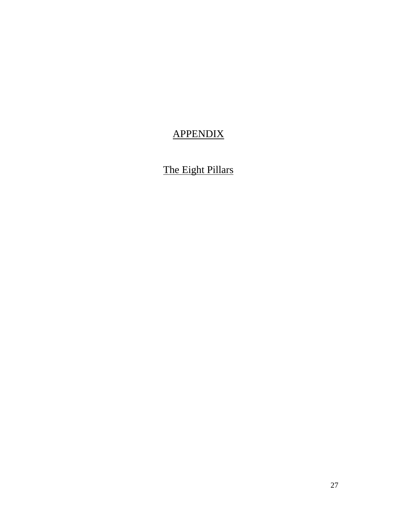# **APPENDIX**

# The Eight Pillars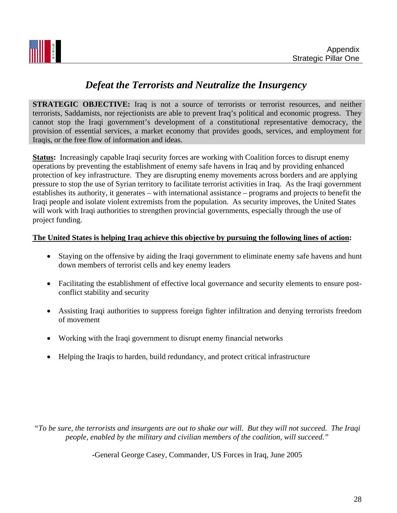|--|--|

# *Defeat the Terrorists and Neutralize the Insurgency*

**STRATEGIC OBJECTIVE:** Iraq is not a source of terrorists or terrorist resources, and neither terrorists, Saddamists, nor rejectionists are able to prevent Iraq's political and economic progress. They cannot stop the Iraqi government's development of a constitutional representative democracy, the provision of essential services, a market economy that provides goods, services, and employment for Iraqis, or the free flow of information and ideas.

**Status:** Increasingly capable Iraqi security forces are working with Coalition forces to disrupt enemy operations by preventing the establishment of enemy safe havens in Iraq and by providing enhanced protection of key infrastructure. They are disrupting enemy movements across borders and are applying pressure to stop the use of Syrian territory to facilitate terrorist activities in Iraq. As the Iraqi government establishes its authority, it generates – with international assistance – programs and projects to benefit the Iraqi people and isolate violent extremists from the population. As security improves, the United States will work with Iraqi authorities to strengthen provincial governments, especially through the use of project funding.

## **The United States is helping Iraq achieve this objective by pursuing the following lines of action:**

- Staying on the offensive by aiding the Iraqi government to eliminate enemy safe havens and hunt down members of terrorist cells and key enemy leaders
- Facilitating the establishment of effective local governance and security elements to ensure postconflict stability and security
- Assisting Iraqi authorities to suppress foreign fighter infiltration and denying terrorists freedom of movement
- Working with the Iraqi government to disrupt enemy financial networks
- Helping the Iraqis to harden, build redundancy, and protect critical infrastructure

*"To be sure, the terrorists and insurgents are out to shake our will. But they will not succeed. The Iraqi people, enabled by the military and civilian members of the coalition, will succeed."* 

**-**General George Casey, Commander, US Forces in Iraq, June 2005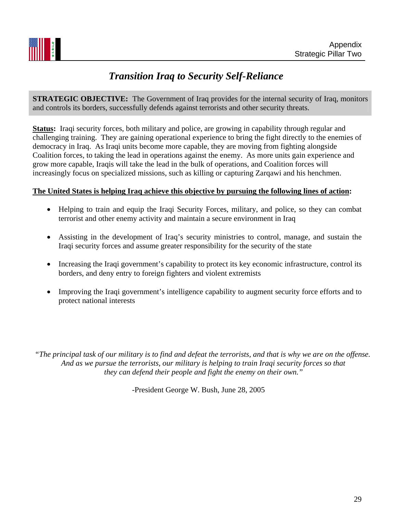

# *Transition Iraq to Security Self-Reliance*

**STRATEGIC OBJECTIVE:** The Government of Iraq provides for the internal security of Iraq, monitors and controls its borders, successfully defends against terrorists and other security threats.

**Status:** Iraqi security forces, both military and police, are growing in capability through regular and challenging training. They are gaining operational experience to bring the fight directly to the enemies of democracy in Iraq. As Iraqi units become more capable, they are moving from fighting alongside Coalition forces, to taking the lead in operations against the enemy. As more units gain experience and grow more capable, Iraqis will take the lead in the bulk of operations, and Coalition forces will increasingly focus on specialized missions, such as killing or capturing Zarqawi and his henchmen.

## **The United States is helping Iraq achieve this objective by pursuing the following lines of action:**

- Helping to train and equip the Iraqi Security Forces, military, and police, so they can combat terrorist and other enemy activity and maintain a secure environment in Iraq
- Assisting in the development of Iraq's security ministries to control, manage, and sustain the Iraqi security forces and assume greater responsibility for the security of the state
- Increasing the Iraqi government's capability to protect its key economic infrastructure, control its borders, and deny entry to foreign fighters and violent extremists
- Improving the Iraqi government's intelligence capability to augment security force efforts and to protect national interests

*"The principal task of our military is to find and defeat the terrorists, and that is why we are on the offense. And as we pursue the terrorists, our military is helping to train Iraqi security forces so that they can defend their people and fight the enemy on their own."* 

-President George W. Bush, June 28, 2005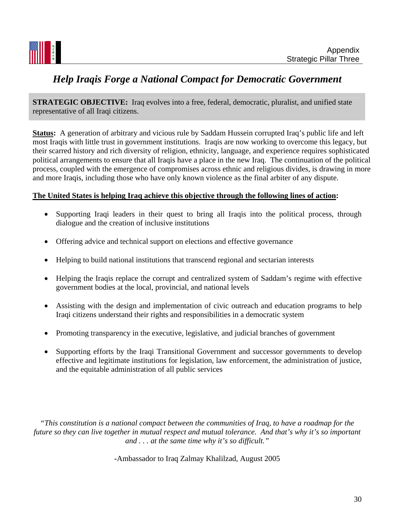

# *Help Iraqis Forge a National Compact for Democratic Government*

**STRATEGIC OBJECTIVE:** Iraq evolves into a free, federal, democratic, pluralist, and unified state representative of all Iraqi citizens.

**Status:** A generation of arbitrary and vicious rule by Saddam Hussein corrupted Iraq's public life and left most Iraqis with little trust in government institutions. Iraqis are now working to overcome this legacy, but their scarred history and rich diversity of religion, ethnicity, language, and experience requires sophisticated political arrangements to ensure that all Iraqis have a place in the new Iraq. The continuation of the political process, coupled with the emergence of compromises across ethnic and religious divides, is drawing in more and more Iraqis, including those who have only known violence as the final arbiter of any dispute.

#### **The United States is helping Iraq achieve this objective through the following lines of action:**

- Supporting Iraqi leaders in their quest to bring all Iraqis into the political process, through dialogue and the creation of inclusive institutions
- Offering advice and technical support on elections and effective governance
- Helping to build national institutions that transcend regional and sectarian interests
- Helping the Iraqis replace the corrupt and centralized system of Saddam's regime with effective government bodies at the local, provincial, and national levels
- Assisting with the design and implementation of civic outreach and education programs to help Iraqi citizens understand their rights and responsibilities in a democratic system
- Promoting transparency in the executive, legislative, and judicial branches of government
- Supporting efforts by the Iraqi Transitional Government and successor governments to develop effective and legitimate institutions for legislation, law enforcement, the administration of justice, and the equitable administration of all public services

*"This constitution is a national compact between the communities of Iraq, to have a roadmap for the future so they can live together in mutual respect and mutual tolerance. And that's why it's so important and . . . at the same time why it's so difficult."* 

**-**Ambassador to Iraq Zalmay Khalilzad, August 2005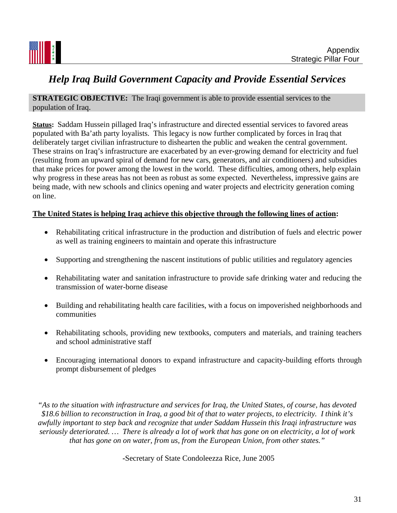

# *Help Iraq Build Government Capacity and Provide Essential Services*

**STRATEGIC OBJECTIVE:** The Iraqi government is able to provide essential services to the population of Iraq.

**Status:** Saddam Hussein pillaged Iraq's infrastructure and directed essential services to favored areas populated with Ba'ath party loyalists. This legacy is now further complicated by forces in Iraq that deliberately target civilian infrastructure to dishearten the public and weaken the central government. These strains on Iraq's infrastructure are exacerbated by an ever-growing demand for electricity and fuel (resulting from an upward spiral of demand for new cars, generators, and air conditioners) and subsidies that make prices for power among the lowest in the world. These difficulties, among others, help explain why progress in these areas has not been as robust as some expected. Nevertheless, impressive gains are being made, with new schools and clinics opening and water projects and electricity generation coming on line.

## **The United States is helping Iraq achieve this objective through the following lines of action:**

- Rehabilitating critical infrastructure in the production and distribution of fuels and electric power as well as training engineers to maintain and operate this infrastructure
- Supporting and strengthening the nascent institutions of public utilities and regulatory agencies
- Rehabilitating water and sanitation infrastructure to provide safe drinking water and reducing the transmission of water-borne disease
- Building and rehabilitating health care facilities, with a focus on impoverished neighborhoods and communities
- Rehabilitating schools, providing new textbooks, computers and materials, and training teachers and school administrative staff
- Encouraging international donors to expand infrastructure and capacity-building efforts through prompt disbursement of pledges

*"As to the situation with infrastructure and services for Iraq, the United States, of course, has devoted \$18.6 billion to reconstruction in Iraq, a good bit of that to water projects, to electricity. I think it's awfully important to step back and recognize that under Saddam Hussein this Iraqi infrastructure was seriously deteriorated. … There is already a lot of work that has gone on on electricity, a lot of work that has gone on on water, from us, from the European Union, from other states."* 

**-**Secretary of State Condoleezza Rice, June 2005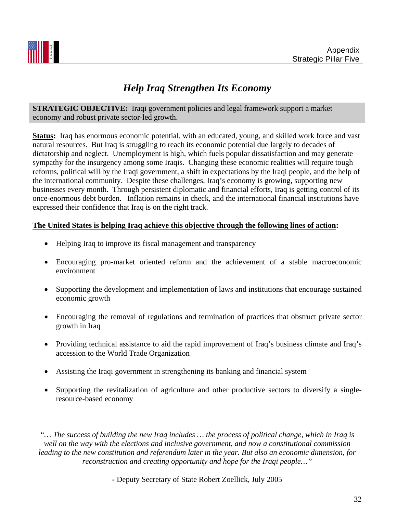

# *Help Iraq Strengthen Its Economy*

**STRATEGIC OBJECTIVE:** Iraqi government policies and legal framework support a market economy and robust private sector-led growth.

**Status:** Iraq has enormous economic potential, with an educated, young, and skilled work force and vast natural resources. But Iraq is struggling to reach its economic potential due largely to decades of dictatorship and neglect. Unemployment is high, which fuels popular dissatisfaction and may generate sympathy for the insurgency among some Iraqis. Changing these economic realities will require tough reforms, political will by the Iraqi government, a shift in expectations by the Iraqi people, and the help of the international community. Despite these challenges, Iraq's economy is growing, supporting new businesses every month. Through persistent diplomatic and financial efforts, Iraq is getting control of its once-enormous debt burden. Inflation remains in check, and the international financial institutions have expressed their confidence that Iraq is on the right track.

## **The United States is helping Iraq achieve this objective through the following lines of action:**

- Helping Iraq to improve its fiscal management and transparency
- Encouraging pro-market oriented reform and the achievement of a stable macroeconomic environment
- Supporting the development and implementation of laws and institutions that encourage sustained economic growth
- Encouraging the removal of regulations and termination of practices that obstruct private sector growth in Iraq
- Providing technical assistance to aid the rapid improvement of Iraq's business climate and Iraq's accession to the World Trade Organization
- Assisting the Iraqi government in strengthening its banking and financial system
- Supporting the revitalization of agriculture and other productive sectors to diversify a singleresource-based economy

*"… The success of building the new Iraq includes … the process of political change, which in Iraq is well on the way with the elections and inclusive government, and now a constitutional commission leading to the new constitution and referendum later in the year. But also an economic dimension, for reconstruction and creating opportunity and hope for the Iraqi people…"* 

**-** Deputy Secretary of State Robert Zoellick, July 2005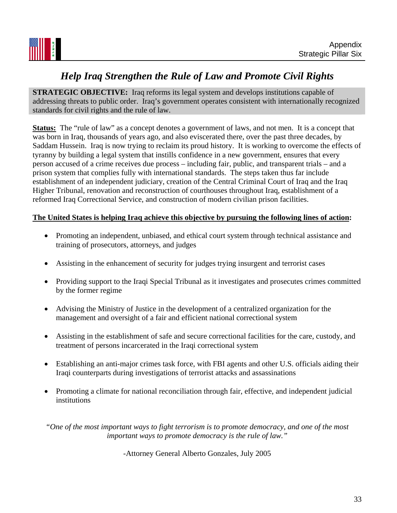

# *Help Iraq Strengthen the Rule of Law and Promote Civil Rights*

**STRATEGIC OBJECTIVE:** Iraq reforms its legal system and develops institutions capable of addressing threats to public order. Iraq's government operates consistent with internationally recognized standards for civil rights and the rule of law.

**Status:** The "rule of law" as a concept denotes a government of laws, and not men. It is a concept that was born in Iraq, thousands of years ago, and also eviscerated there, over the past three decades, by Saddam Hussein. Iraq is now trying to reclaim its proud history. It is working to overcome the effects of tyranny by building a legal system that instills confidence in a new government, ensures that every person accused of a crime receives due process – including fair, public, and transparent trials – and a prison system that complies fully with international standards. The steps taken thus far include establishment of an independent judiciary, creation of the Central Criminal Court of Iraq and the Iraq Higher Tribunal, renovation and reconstruction of courthouses throughout Iraq, establishment of a reformed Iraq Correctional Service, and construction of modern civilian prison facilities.

# **The United States is helping Iraq achieve this objective by pursuing the following lines of action:**

- Promoting an independent, unbiased, and ethical court system through technical assistance and training of prosecutors, attorneys, and judges
- Assisting in the enhancement of security for judges trying insurgent and terrorist cases
- Providing support to the Iraqi Special Tribunal as it investigates and prosecutes crimes committed by the former regime
- Advising the Ministry of Justice in the development of a centralized organization for the management and oversight of a fair and efficient national correctional system
- Assisting in the establishment of safe and secure correctional facilities for the care, custody, and treatment of persons incarcerated in the Iraqi correctional system
- Establishing an anti-major crimes task force, with FBI agents and other U.S. officials aiding their Iraqi counterparts during investigations of terrorist attacks and assassinations
- Promoting a climate for national reconciliation through fair, effective, and independent judicial institutions

*"One of the most important ways to fight terrorism is to promote democracy, and one of the most important ways to promote democracy is the rule of law."* 

-Attorney General Alberto Gonzales, July 2005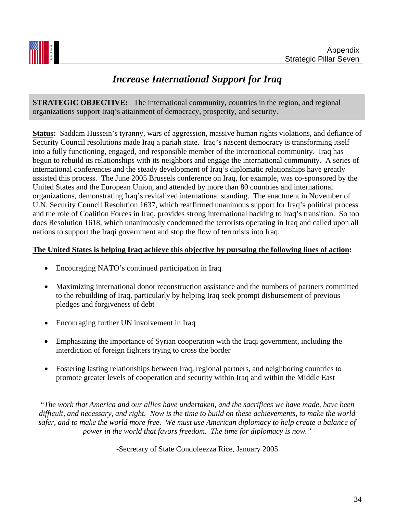

# *Increase International Support for Iraq*

**STRATEGIC OBJECTIVE:** The international community, countries in the region, and regional organizations support Iraq's attainment of democracy, prosperity, and security.

**Status:** Saddam Hussein's tyranny, wars of aggression, massive human rights violations, and defiance of Security Council resolutions made Iraq a pariah state. Iraq's nascent democracy is transforming itself into a fully functioning, engaged, and responsible member of the international community. Iraq has begun to rebuild its relationships with its neighbors and engage the international community. A series of international conferences and the steady development of Iraq's diplomatic relationships have greatly assisted this process. The June 2005 Brussels conference on Iraq, for example, was co-sponsored by the United States and the European Union, and attended by more than 80 countries and international organizations, demonstrating Iraq's revitalized international standing. The enactment in November of U.N. Security Council Resolution 1637, which reaffirmed unanimous support for Iraq's political process and the role of Coalition Forces in Iraq, provides strong international backing to Iraq's transition. So too does Resolution 1618, which unanimously condemned the terrorists operating in Iraq and called upon all nations to support the Iraqi government and stop the flow of terrorists into Iraq.

#### **The United States is helping Iraq achieve this objective by pursuing the following lines of action:**

- Encouraging NATO's continued participation in Iraq
- Maximizing international donor reconstruction assistance and the numbers of partners committed to the rebuilding of Iraq, particularly by helping Iraq seek prompt disbursement of previous pledges and forgiveness of debt
- Encouraging further UN involvement in Iraq
- Emphasizing the importance of Syrian cooperation with the Iraqi government, including the interdiction of foreign fighters trying to cross the border
- Fostering lasting relationships between Iraq, regional partners, and neighboring countries to promote greater levels of cooperation and security within Iraq and within the Middle East

*"The work that America and our allies have undertaken, and the sacrifices we have made, have been difficult, and necessary, and right. Now is the time to build on these achievements, to make the world*  safer, and to make the world more free. We must use American diplomacy to help create a balance of *power in the world that favors freedom. The time for diplomacy is now."* 

-Secretary of State Condoleezza Rice, January 2005